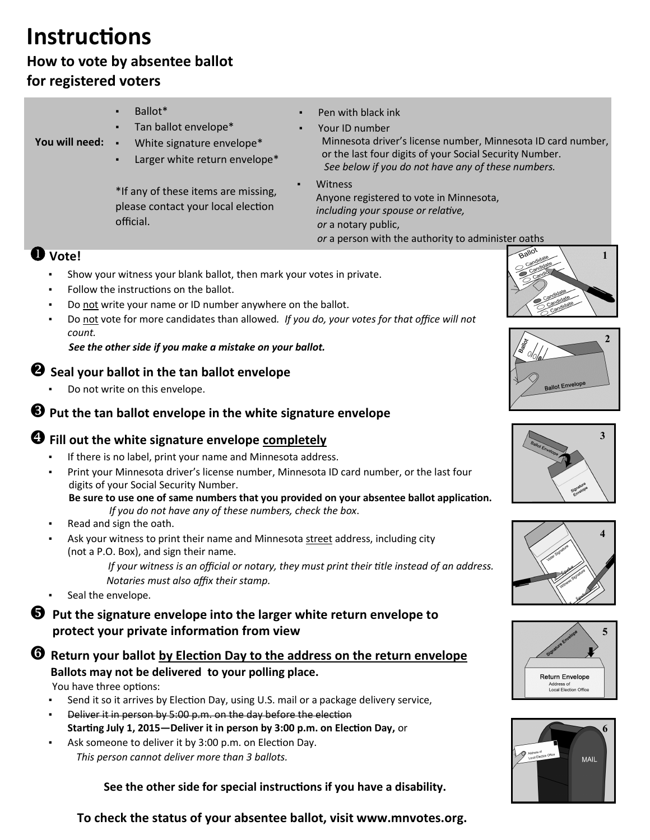# **Instructions**

## **How to vote by absentee ballot for registered voters**

| You will need:                                                                                                                                                                                                                    | Ballot*<br>Tan ballot envelope*<br>White signature envelope*<br>$\blacksquare$<br>Larger white return envelope* | Pen with black ink<br>Your ID number<br>Minnesota driver's license number, Minnesota ID card number,<br>or the last four digits of your Social Security Number.<br>See below if you do not have any of these numbers. |                        |
|-----------------------------------------------------------------------------------------------------------------------------------------------------------------------------------------------------------------------------------|-----------------------------------------------------------------------------------------------------------------|-----------------------------------------------------------------------------------------------------------------------------------------------------------------------------------------------------------------------|------------------------|
|                                                                                                                                                                                                                                   | *If any of these items are missing,<br>please contact your local election<br>official.                          | Witness<br>Anyone registered to vote in Minnesota,<br>including your spouse or relative,<br>or a notary public,<br>or a person with the authority to administer oaths                                                 |                        |
| $\mathbf 0$ Vote!<br>Show your witness your blank ballot, then mark your votes in private.                                                                                                                                        |                                                                                                                 |                                                                                                                                                                                                                       |                        |
| Follow the instructions on the ballot.<br>٠<br>Do not write your name or ID number anywhere on the ballot.<br>٠<br>Do not vote for more candidates than allowed. If you do, your votes for that office will not<br>$\blacksquare$ |                                                                                                                 |                                                                                                                                                                                                                       |                        |
| count.<br>See the other side if you make a mistake on your ballot.                                                                                                                                                                |                                                                                                                 |                                                                                                                                                                                                                       | $\overline{2}$         |
| $\bullet$ Seal your ballot in the tan ballot envelope                                                                                                                                                                             |                                                                                                                 |                                                                                                                                                                                                                       |                        |
| Do not write on this envelope.                                                                                                                                                                                                    |                                                                                                                 |                                                                                                                                                                                                                       | <b>Ballot Envelope</b> |
| $\bullet$ Put the tan ballot envelope in the white signature envelope                                                                                                                                                             |                                                                                                                 |                                                                                                                                                                                                                       |                        |
| <sup>4</sup> Fill out the white signature envelope completely<br>If there is no label, print your name and Minnesota address.<br>Print your Minnesota driver's license number, Minnesota ID card number, or the last four         |                                                                                                                 |                                                                                                                                                                                                                       | 3                      |
| digits of your Social Security Number.<br>Be sure to use one of same numbers that you provided on your absentee ballot application.<br>If you do not have any of these numbers, check the box.                                    |                                                                                                                 |                                                                                                                                                                                                                       |                        |

- Read and sign the oath.
- Ask your witness to print their name and Minnesota street address, including city (not a P.O. Box), and sign their name.

 *If your witness is an official or notary, they must print their title instead of an address. Notaries must also affix their stamp.*

Seal the envelope.

## $\Theta$  Put the signature envelope into the larger white return envelope to **protect your private information from view**

## **C** Return your ballot by Election Day to the address on the return envelope **Ballots may not be delivered to your polling place.**

You have three options:

- **•** Send it so it arrives by Election Day, using U.S. mail or a package delivery service,
- **EXECT** Deliver it in person by 5:00 p.m. on the day before the election **Starting July 1, 2015—Deliver it in person by 3:00 p.m. on Election Day,** or
- Ask someone to deliver it by 3:00 p.m. on Election Day. *This person cannot deliver more than 3 ballots.*

 **See the other side for special instructions if you have a disability.**







**To check the status of your absentee ballot, visit www.mnvotes.org.**